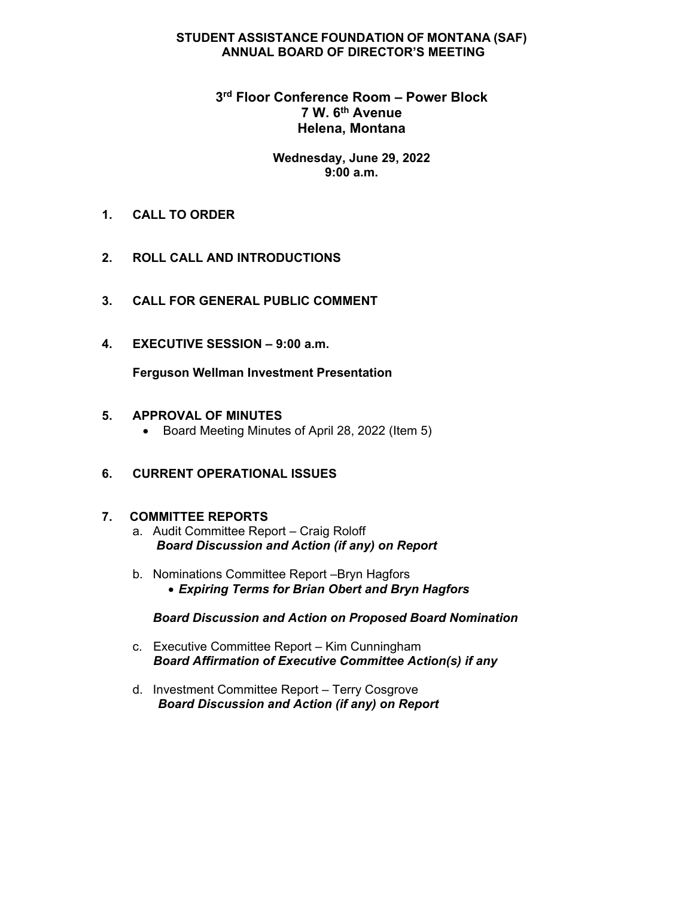#### **STUDENT ASSISTANCE FOUNDATION OF MONTANA (SAF) ANNUAL BOARD OF DIRECTOR'S MEETING**

### **3rd Floor Conference Room – Power Block 7 W. 6th Avenue Helena, Montana**

#### **Wednesday, June 29, 2022 9:00 a.m.**

- **1. CALL TO ORDER**
- **2. ROLL CALL AND INTRODUCTIONS**
- **3. CALL FOR GENERAL PUBLIC COMMENT**
- **4. EXECUTIVE SESSION 9:00 a.m.**

**Ferguson Wellman Investment Presentation** 

#### **5. APPROVAL OF MINUTES**

• Board Meeting Minutes of April 28, 2022 (Item 5)

### **6. CURRENT OPERATIONAL ISSUES**

#### **7.****COMMITTEE REPORTS**

- a. Audit Committee Report Craig Roloff  *Board Discussion and Action (if any) on Report*
- b. Nominations Committee Report –Bryn Hagfors *Expiring Terms for Brian Obert and Bryn Hagfors*

#### *Board Discussion and Action on Proposed Board Nomination*

- c. Executive Committee Report Kim Cunningham  *Board Affirmation of Executive Committee Action(s) if any*
- d. Investment Committee Report Terry Cosgrove *Board Discussion and Action (if any) on Report*